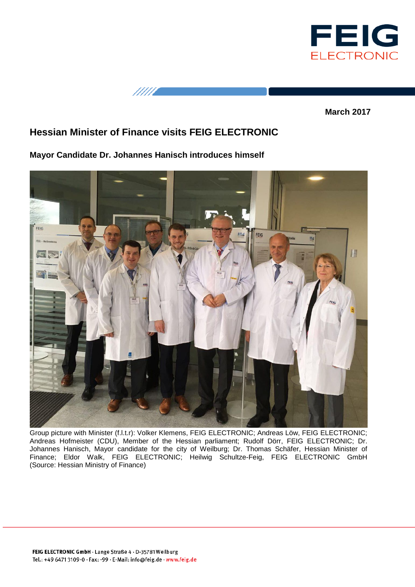

11111

**March 2017**

## **Hessian Minister of Finance visits FEIG ELECTRONIC**

**Mayor Candidate Dr. Johannes Hanisch introduces himself**



Group picture with Minister (f.l.t.r): Volker Klemens, FEIG ELECTRONIC; Andreas Löw, FEIG ELECTRONIC; Andreas Hofmeister (CDU), Member of the Hessian parliament; Rudolf Dörr, FEIG ELECTRONIC; Dr. Johannes Hanisch, Mayor candidate for the city of Weilburg; Dr. Thomas Schäfer, Hessian Minister of Finance; Eldor Walk, FEIG ELECTRONIC; Heilwig Schultze-Feig, FEIG ELECTRONIC GmbH (Source: Hessian Ministry of Finance)